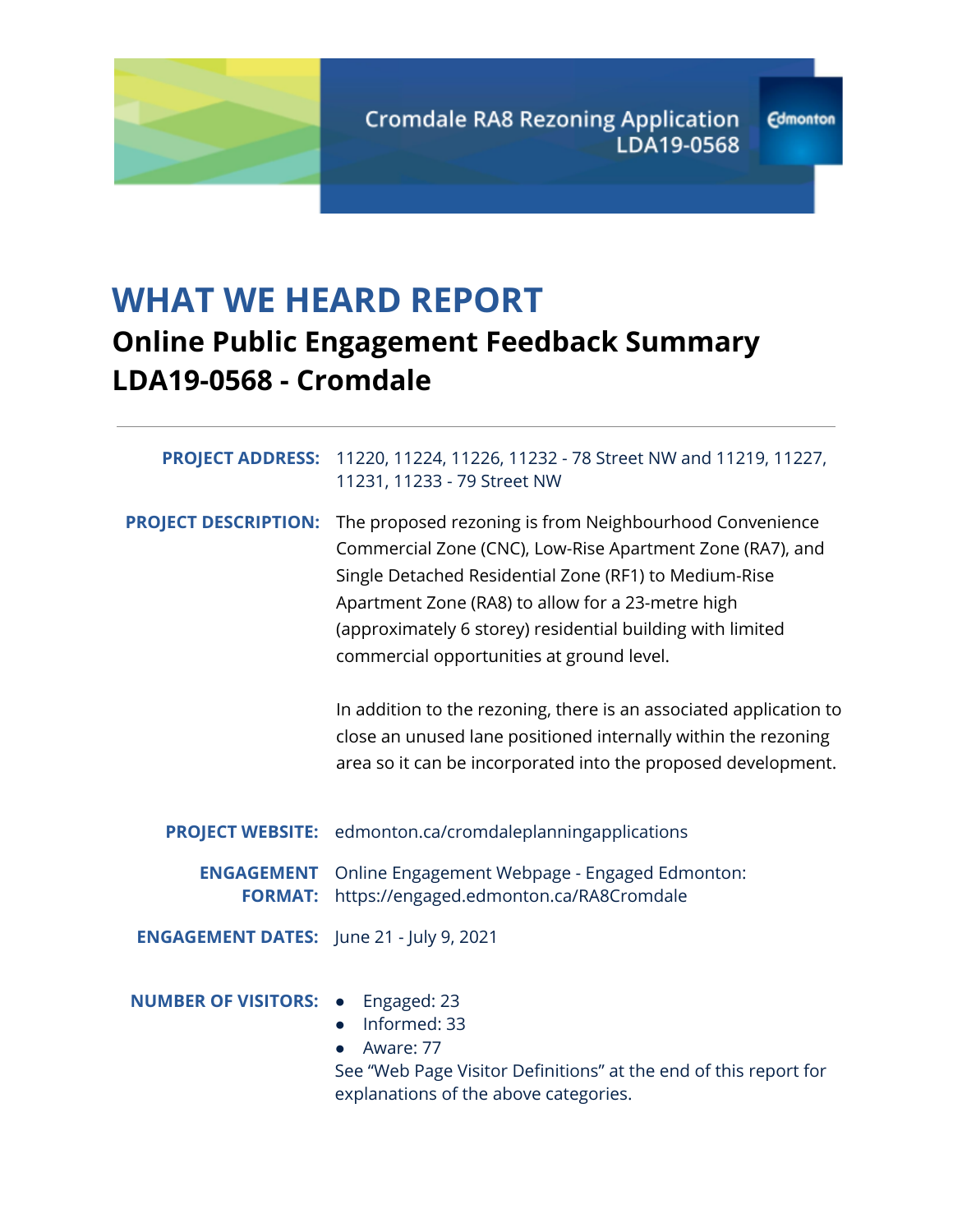

# **WHAT WE HEARD REPORT**

## **Online Public Engagement Feedback Summary LDA19-0568 - Cromdale**

|                                                 | <b>PROJECT ADDRESS:</b> 11220, 11224, 11226, 11232 - 78 Street NW and 11219, 11227,<br>11231, 11233 - 79 Street NW                                                                                                                                                                                                                            |
|-------------------------------------------------|-----------------------------------------------------------------------------------------------------------------------------------------------------------------------------------------------------------------------------------------------------------------------------------------------------------------------------------------------|
| <b>PROJECT DESCRIPTION:</b>                     | The proposed rezoning is from Neighbourhood Convenience<br>Commercial Zone (CNC), Low-Rise Apartment Zone (RA7), and<br>Single Detached Residential Zone (RF1) to Medium-Rise<br>Apartment Zone (RA8) to allow for a 23-metre high<br>(approximately 6 storey) residential building with limited<br>commercial opportunities at ground level. |
|                                                 | In addition to the rezoning, there is an associated application to<br>close an unused lane positioned internally within the rezoning<br>area so it can be incorporated into the proposed development.                                                                                                                                         |
|                                                 | <b>PROJECT WEBSITE:</b> edmonton.ca/cromdaleplanningapplications                                                                                                                                                                                                                                                                              |
| <b>ENGAGEMENT</b><br><b>FORMAT:</b>             | Online Engagement Webpage - Engaged Edmonton:<br>https://engaged.edmonton.ca/RA8Cromdale                                                                                                                                                                                                                                                      |
| <b>ENGAGEMENT DATES:</b> June 21 - July 9, 2021 |                                                                                                                                                                                                                                                                                                                                               |
| <b>NUMBER OF VISITORS: •</b>                    | Engaged: 23<br>Informed: 33<br>Aware: 77<br>$\bullet$<br>See "Web Page Visitor Definitions" at the end of this report for<br>explanations of the above categories.                                                                                                                                                                            |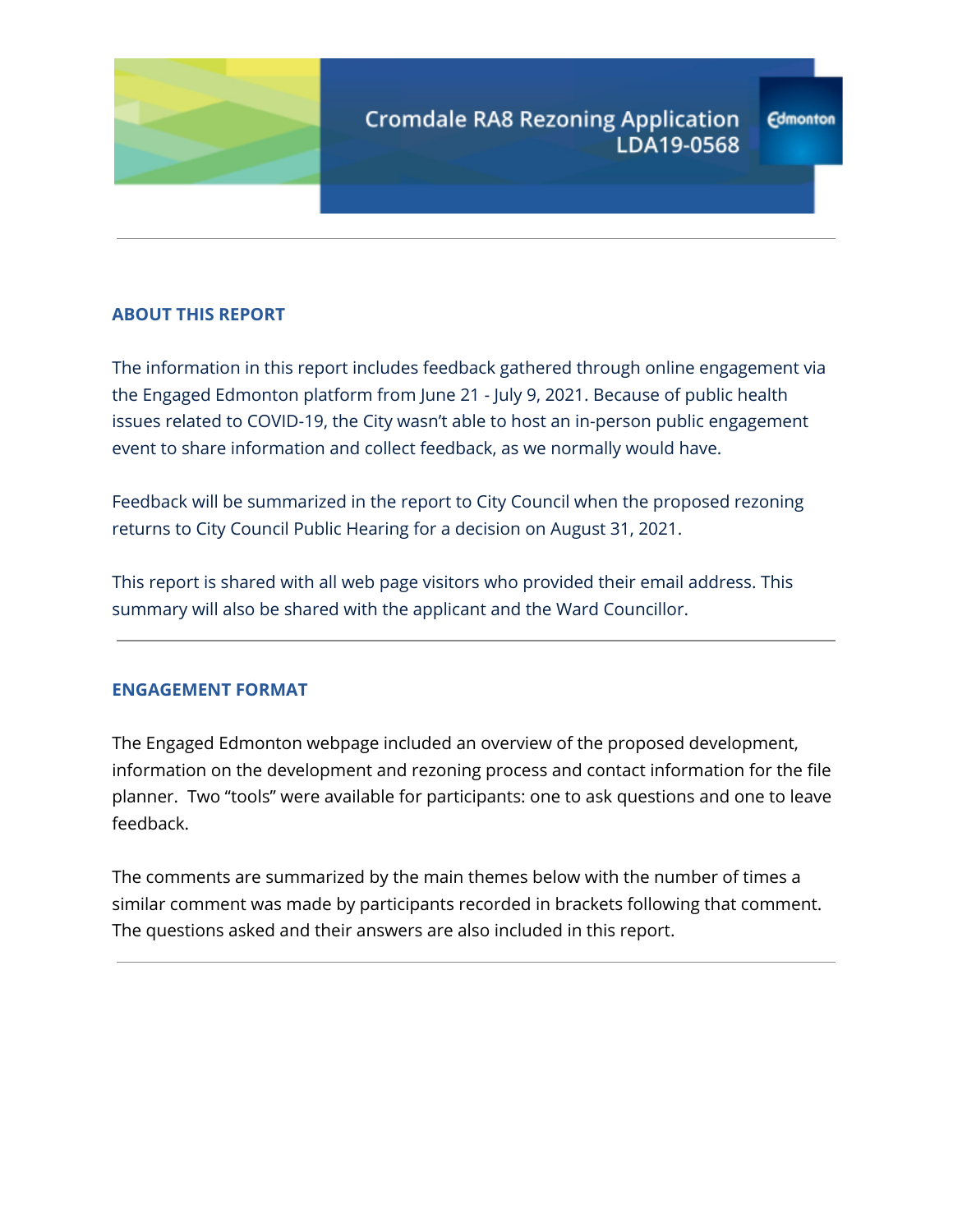

## **ABOUT THIS REPORT**

The information in this report includes feedback gathered through online engagement via the Engaged Edmonton platform from June 21 - July 9, 2021. Because of public health issues related to COVID-19, the City wasn't able to host an in-person public engagement event to share information and collect feedback, as we normally would have.

Feedback will be summarized in the report to City Council when the proposed rezoning returns to City Council Public Hearing for a decision on August 31, 2021.

This report is shared with all web page visitors who provided their email address. This summary will also be shared with the applicant and the Ward Councillor.

### **ENGAGEMENT FORMAT**

The Engaged Edmonton webpage included an overview of the proposed development, information on the development and rezoning process and contact information for the file planner. Two "tools" were available for participants: one to ask questions and one to leave feedback.

The comments are summarized by the main themes below with the number of times a similar comment was made by participants recorded in brackets following that comment. The questions asked and their answers are also included in this report.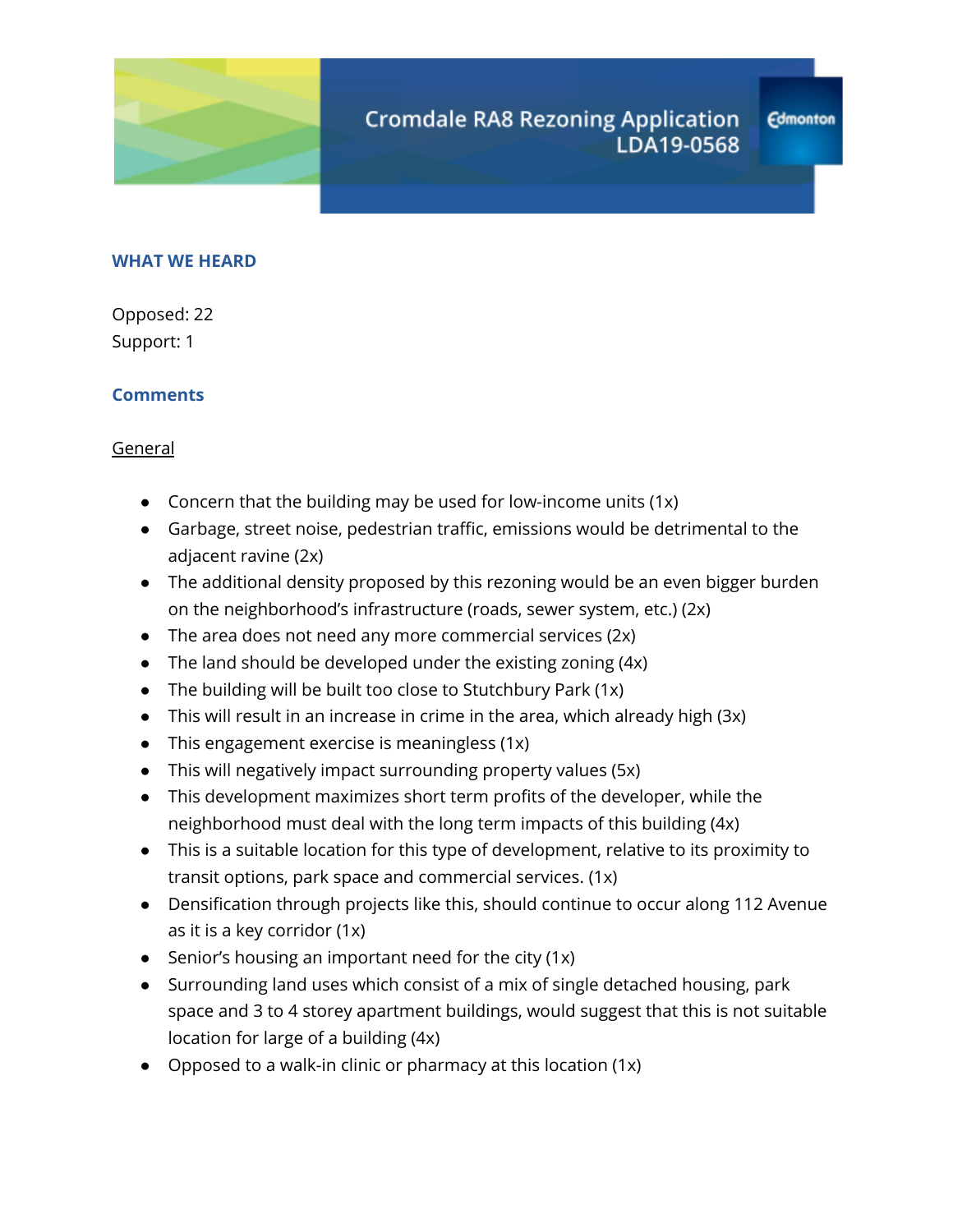

## **Edmonton**

## **WHAT WE HEARD**

Opposed: 22 Support: 1

## **Comments**

General

- Concern that the building may be used for low-income units (1x)
- Garbage, street noise, pedestrian traffic, emissions would be detrimental to the adjacent ravine (2x)
- The additional density proposed by this rezoning would be an even bigger burden on the neighborhood's infrastructure (roads, sewer system, etc.) (2x)
- $\bullet$  The area does not need any more commercial services (2x)
- $\bullet$  The land should be developed under the existing zoning (4x)
- The building will be built too close to Stutchbury Park (1x)
- This will result in an increase in crime in the area, which already high (3x)
- This engagement exercise is meaningless  $(1x)$
- This will negatively impact surrounding property values (5x)
- This development maximizes short term profits of the developer, while the neighborhood must deal with the long term impacts of this building (4x)
- This is a suitable location for this type of development, relative to its proximity to transit options, park space and commercial services. (1x)
- Densification through projects like this, should continue to occur along 112 Avenue as it is a key corridor (1x)
- Senior's housing an important need for the city (1x)
- Surrounding land uses which consist of a mix of single detached housing, park space and 3 to 4 storey apartment buildings, would suggest that this is not suitable location for large of a building (4x)
- Opposed to a walk-in clinic or pharmacy at this location  $(1x)$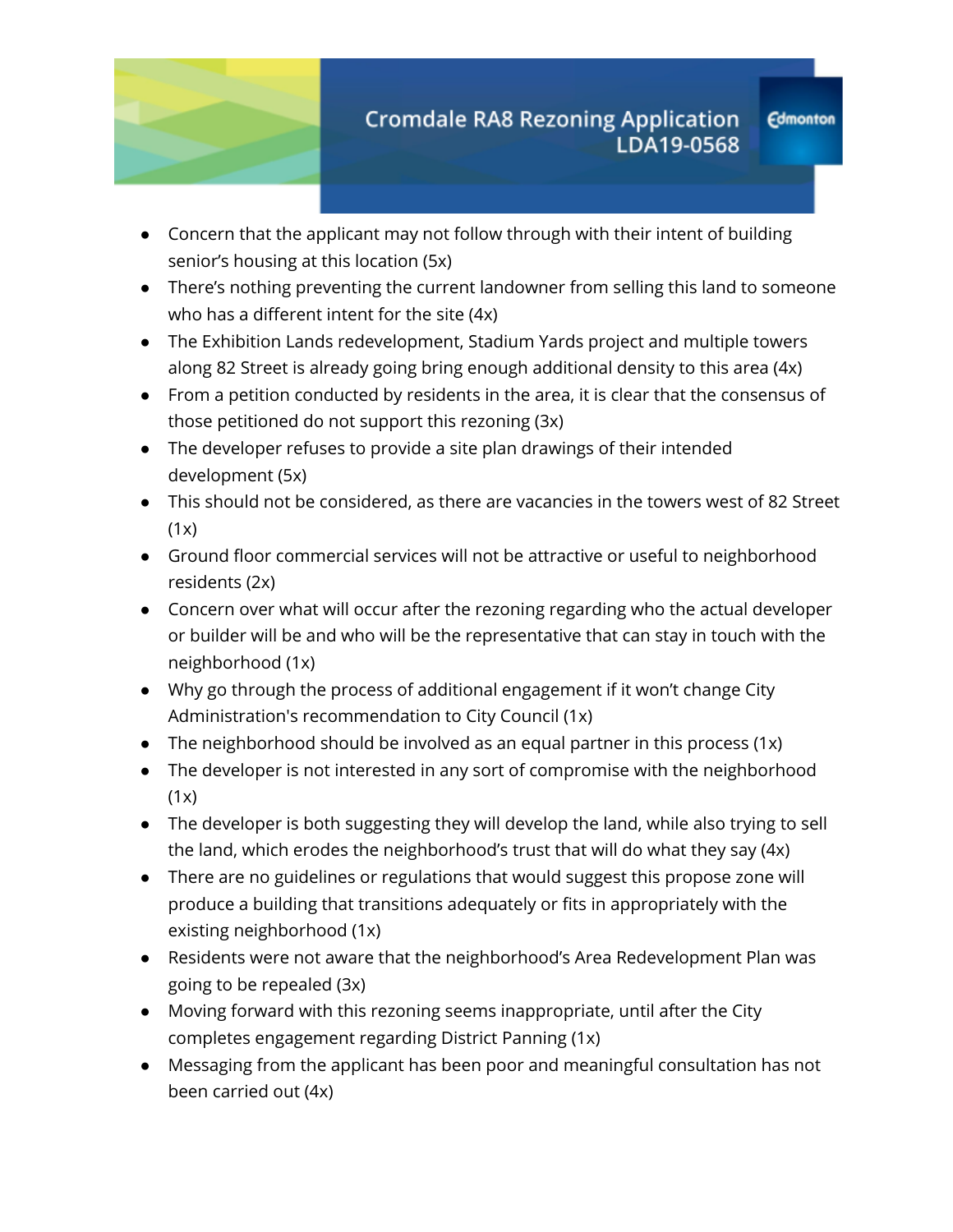

- Concern that the applicant may not follow through with their intent of building senior's housing at this location (5x)
- There's nothing preventing the current landowner from selling this land to someone who has a different intent for the site (4x)
- The Exhibition Lands redevelopment, Stadium Yards project and multiple towers along 82 Street is already going bring enough additional density to this area (4x)
- From a petition conducted by residents in the area, it is clear that the consensus of those petitioned do not support this rezoning (3x)
- The developer refuses to provide a site plan drawings of their intended development (5x)
- This should not be considered, as there are vacancies in the towers west of 82 Street  $(1x)$
- Ground floor commercial services will not be attractive or useful to neighborhood residents (2x)
- Concern over what will occur after the rezoning regarding who the actual developer or builder will be and who will be the representative that can stay in touch with the neighborhood (1x)
- Why go through the process of additional engagement if it won't change City Administration's recommendation to City Council (1x)
- The neighborhood should be involved as an equal partner in this process  $(1x)$
- The developer is not interested in any sort of compromise with the neighborhood  $(1x)$
- The developer is both suggesting they will develop the land, while also trying to sell the land, which erodes the neighborhood's trust that will do what they say (4x)
- There are no guidelines or regulations that would suggest this propose zone will produce a building that transitions adequately or fits in appropriately with the existing neighborhood (1x)
- Residents were not aware that the neighborhood's Area Redevelopment Plan was going to be repealed (3x)
- Moving forward with this rezoning seems inappropriate, until after the City completes engagement regarding District Panning (1x)
- Messaging from the applicant has been poor and meaningful consultation has not been carried out (4x)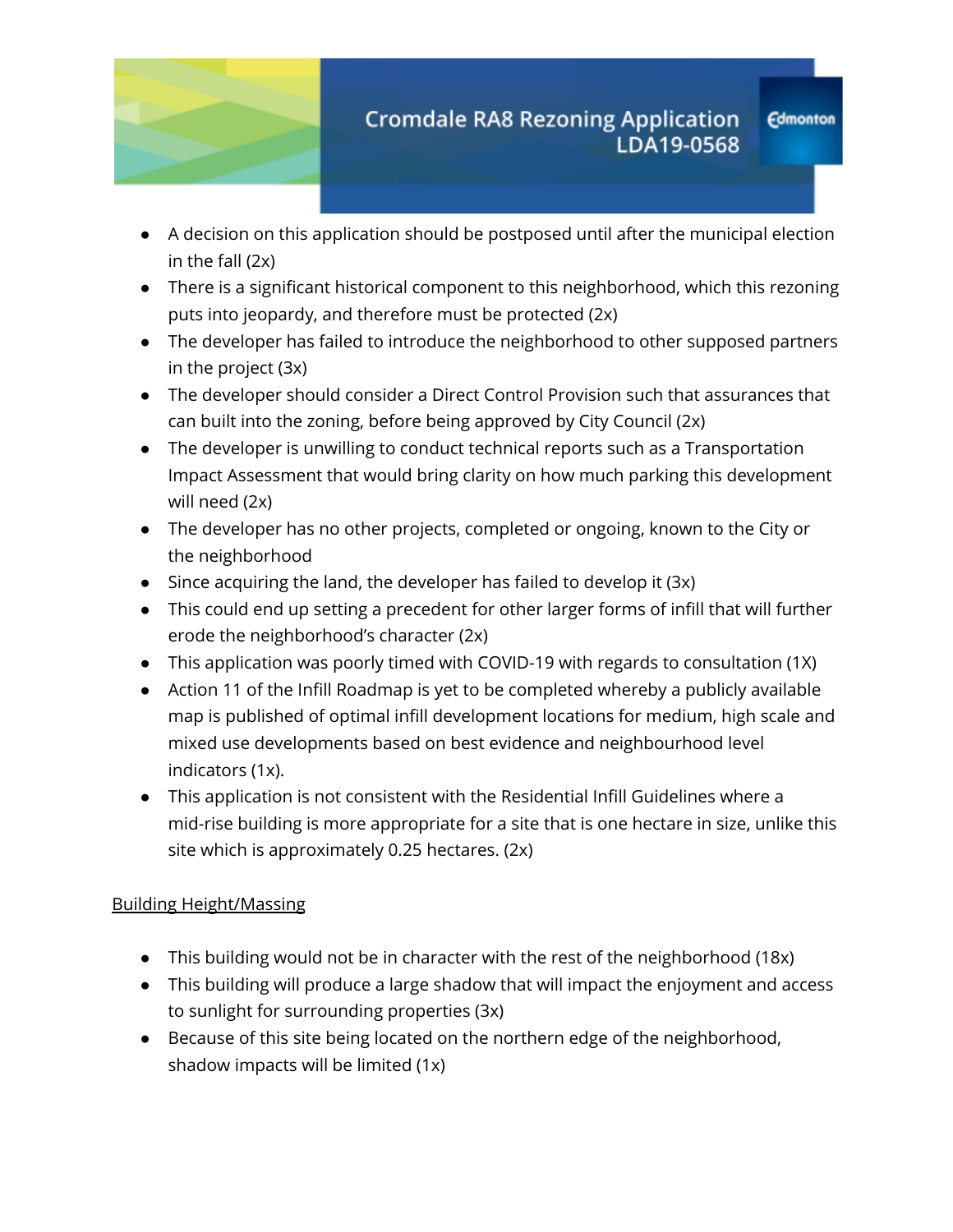

- A decision on this application should be postposed until after the municipal election in the fall (2x)
- There is a significant historical component to this neighborhood, which this rezoning puts into jeopardy, and therefore must be protected (2x)
- The developer has failed to introduce the neighborhood to other supposed partners in the project (3x)
- The developer should consider a Direct Control Provision such that assurances that can built into the zoning, before being approved by City Council (2x)
- The developer is unwilling to conduct technical reports such as a Transportation Impact Assessment that would bring clarity on how much parking this development will need (2x)
- The developer has no other projects, completed or ongoing, known to the City or the neighborhood
- Since acquiring the land, the developer has failed to develop it (3x)
- This could end up setting a precedent for other larger forms of infill that will further erode the neighborhood's character (2x)
- This application was poorly timed with COVID-19 with regards to consultation (1X)
- Action 11 of the Infill Roadmap is yet to be completed whereby a publicly available map is published of optimal infill development locations for medium, high scale and mixed use developments based on best evidence and neighbourhood level indicators (1x).
- This application is not consistent with the Residential Infill Guidelines where a mid-rise building is more appropriate for a site that is one hectare in size, unlike this site which is approximately 0.25 hectares. (2x)

## Building Height/Massing

- This building would not be in character with the rest of the neighborhood (18x)
- This building will produce a large shadow that will impact the enjoyment and access to sunlight for surrounding properties (3x)
- Because of this site being located on the northern edge of the neighborhood, shadow impacts will be limited (1x)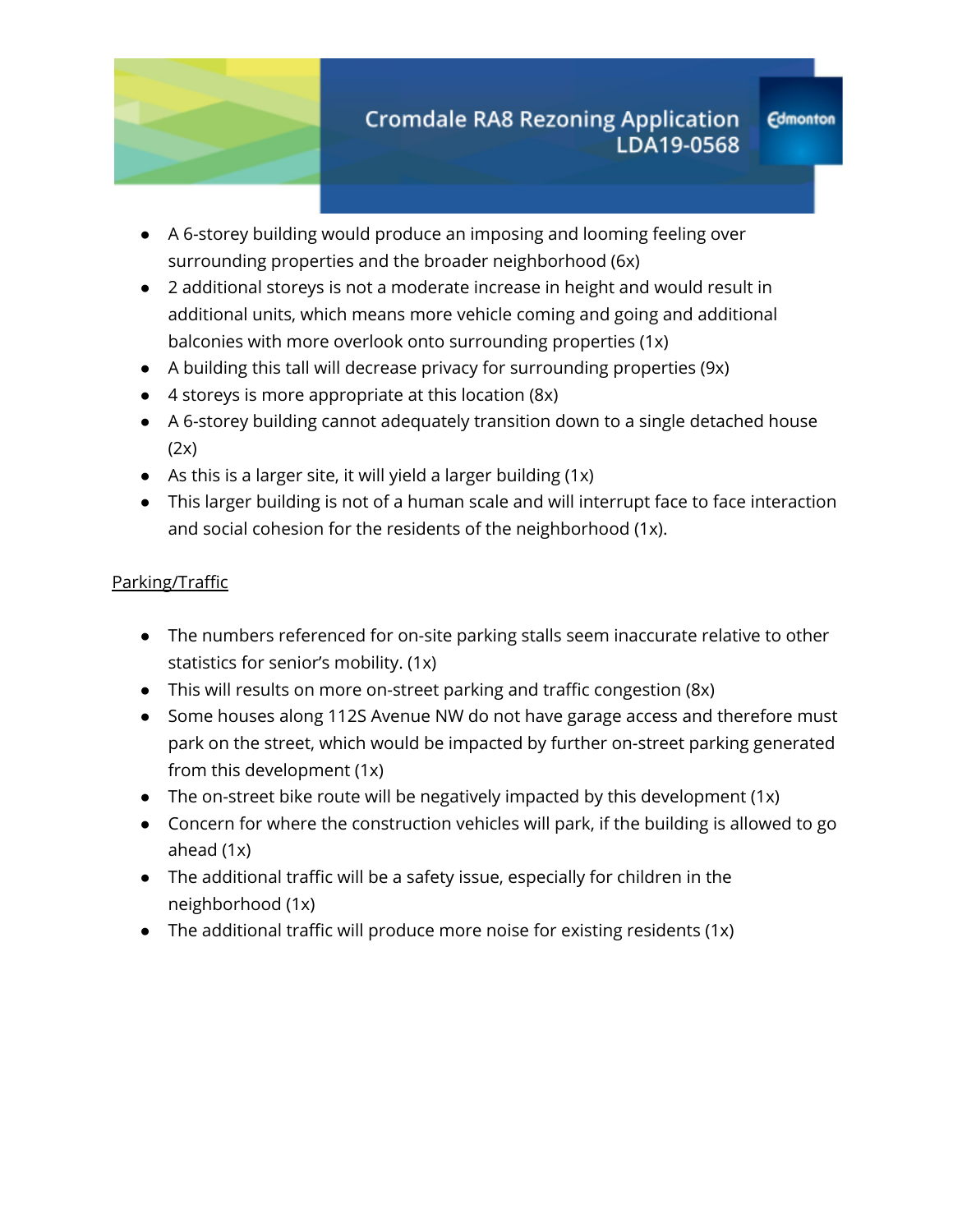

**Edmonton** 

- A 6-storey building would produce an imposing and looming feeling over surrounding properties and the broader neighborhood (6x)
- 2 additional storeys is not a moderate increase in height and would result in additional units, which means more vehicle coming and going and additional balconies with more overlook onto surrounding properties (1x)
- A building this tall will decrease privacy for surrounding properties (9x)
- 4 storeys is more appropriate at this location (8x)
- A 6-storey building cannot adequately transition down to a single detached house (2x)
- $\bullet$  As this is a larger site, it will yield a larger building (1x)
- This larger building is not of a human scale and will interrupt face to face interaction and social cohesion for the residents of the neighborhood (1x).

## Parking/Traffic

- The numbers referenced for on-site parking stalls seem inaccurate relative to other statistics for senior's mobility. (1x)
- This will results on more on-street parking and traffic congestion (8x)
- Some houses along 112S Avenue NW do not have garage access and therefore must park on the street, which would be impacted by further on-street parking generated from this development (1x)
- The on-street bike route will be negatively impacted by this development  $(1x)$
- Concern for where the construction vehicles will park, if the building is allowed to go ahead (1x)
- The additional traffic will be a safety issue, especially for children in the neighborhood (1x)
- The additional traffic will produce more noise for existing residents (1x)